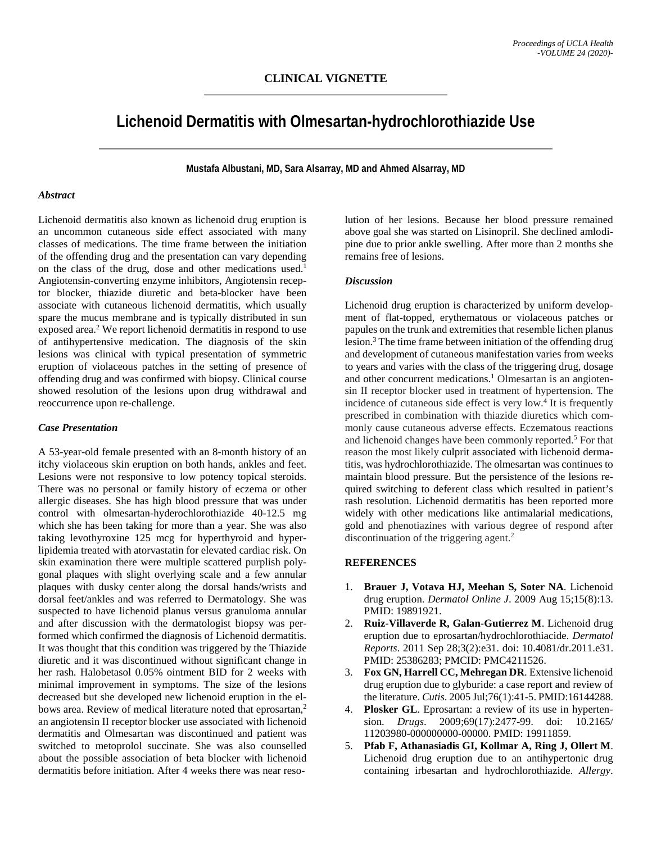# **Lichenoid Dermatitis with Olmesartan-hydrochlorothiazide Use**

**Mustafa Albustani, MD, Sara Alsarray, MD and Ahmed Alsarray, MD**

#### *Abstract*

Lichenoid dermatitis also known as lichenoid drug eruption is an uncommon cutaneous side effect associated with many classes of medications. The time frame between the initiation of the offending drug and the presentation can vary depending on the class of the drug, dose and other medications used.<sup>1</sup> Angiotensin-converting enzyme inhibitors, Angiotensin receptor blocker, thiazide diuretic and beta-blocker have been associate with cutaneous lichenoid dermatitis, which usually spare the mucus membrane and is typically distributed in sun exposed area.<sup>2</sup> We report lichenoid dermatitis in respond to use of antihypertensive medication. The diagnosis of the skin lesions was clinical with typical presentation of symmetric eruption of violaceous patches in the setting of presence of offending drug and was confirmed with biopsy. Clinical course showed resolution of the lesions upon drug withdrawal and reoccurrence upon re-challenge.

## *Case Presentation*

A 53-year-old female presented with an 8-month history of an itchy violaceous skin eruption on both hands, ankles and feet. Lesions were not responsive to low potency topical steroids. There was no personal or family history of eczema or other allergic diseases. She has high blood pressure that was under control with olmesartan-hyderochlorothiazide 40-12.5 mg which she has been taking for more than a year. She was also taking levothyroxine 125 mcg for hyperthyroid and hyperlipidemia treated with atorvastatin for elevated cardiac risk. On skin examination there were multiple scattered purplish polygonal plaques with slight overlying scale and a few annular plaques with dusky center along the dorsal hands/wrists and dorsal feet/ankles and was referred to Dermatology. She was suspected to have lichenoid planus versus granuloma annular and after discussion with the dermatologist biopsy was performed which confirmed the diagnosis of Lichenoid dermatitis. It was thought that this condition was triggered by the Thiazide diuretic and it was discontinued without significant change in her rash. Halobetasol 0.05% ointment BID for 2 weeks with minimal improvement in symptoms. The size of the lesions decreased but she developed new lichenoid eruption in the elbows area. Review of medical literature noted that eprosartan,<sup>2</sup> an angiotensin II receptor blocker use associated with lichenoid dermatitis and Olmesartan was discontinued and patient was switched to metoprolol succinate. She was also counselled about the possible association of beta blocker with lichenoid dermatitis before initiation. After 4 weeks there was near resolution of her lesions. Because her blood pressure remained above goal she was started on Lisinopril. She declined amlodipine due to prior ankle swelling. After more than 2 months she remains free of lesions.

### *Discussion*

Lichenoid drug eruption is characterized by uniform development of flat-topped, erythematous or violaceous patches or papules on the trunk and extremities that resemble lichen planus lesion.<sup>3</sup> The time frame between initiation of the offending drug and development of cutaneous manifestation varies from weeks to years and varies with the class of the triggering drug, dosage and other concurrent medications.<sup>1</sup> Olmesartan is an angiotensin II receptor blocker used in treatment of hypertension. The incidence of cutaneous side effect is very low.<sup>4</sup> It is frequently prescribed in combination with thiazide diuretics which commonly cause cutaneous adverse effects. Eczematous reactions and lichenoid changes have been commonly reported.5 For that reason the most likely culprit associated with lichenoid dermatitis, was hydrochlorothiazide. The olmesartan was continues to maintain blood pressure. But the persistence of the lesions required switching to deferent class which resulted in patient's rash resolution. Lichenoid dermatitis has been reported more widely with other medications like antimalarial medications, gold and phenotiazines with various degree of respond after discontinuation of the triggering agent.<sup>2</sup>

## **REFERENCES**

- 1. **Brauer J, Votava HJ, Meehan S, Soter NA**. Lichenoid drug eruption. *Dermatol Online J*. 2009 Aug 15;15(8):13. PMID: 19891921.
- 2. **Ruiz-Villaverde R, Galan-Gutierrez M**. Lichenoid drug eruption due to eprosartan/hydrochlorothiacide. *Dermatol Reports*. 2011 Sep 28;3(2):e31. doi: 10.4081/dr.2011.e31. PMID: 25386283; PMCID: PMC4211526.
- 3. **Fox GN, Harrell CC, Mehregan DR**. Extensive lichenoid drug eruption due to glyburide: a case report and review of the literature. *Cutis*. 2005 Jul;76(1):41-5. PMID:16144288.
- 4. **Plosker GL**. Eprosartan: a review of its use in hypertension. *Drugs*. 2009;69(17):2477-99. doi: 10.2165/ 11203980-000000000-00000. PMID: 19911859.
- 5. **Pfab F, Athanasiadis GI, Kollmar A, Ring J, Ollert M**. Lichenoid drug eruption due to an antihypertonic drug containing irbesartan and hydrochlorothiazide. *Allergy*.